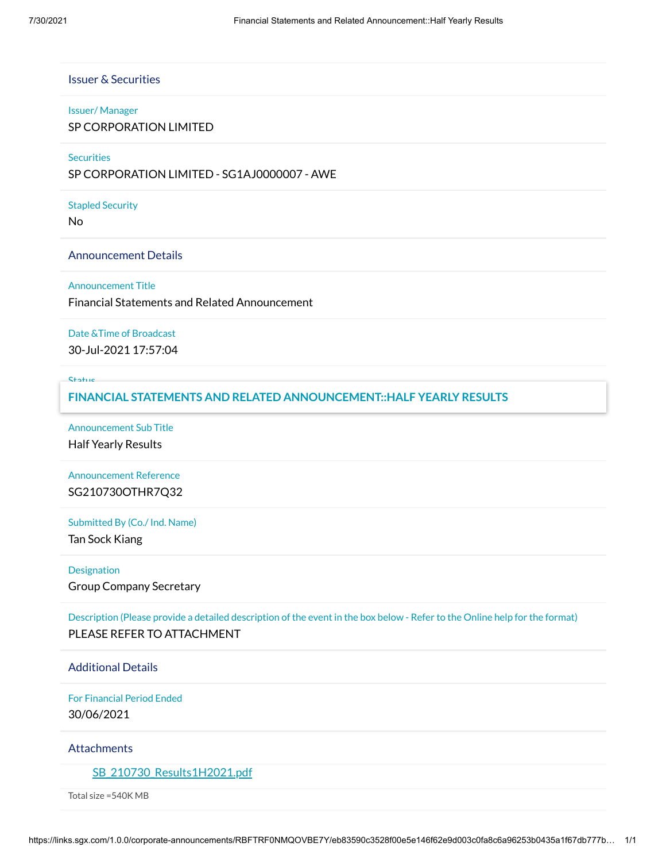# Issuer & Securities

#### Issuer/ Manager

SP CORPORATION LIMITED

## **Securities**

SP CORPORATION LIMITED - SG1AJ0000007 - AWE

## Stapled Security

No

## Announcement Details

#### Announcement Title

Financial Statements and Related Announcement

## Date &Time of Broadcast

30-Jul-2021 17:57:04

#### Status

## New **FINANCIAL STATEMENTS AND RELATED ANNOUNCEMENT::HALF YEARLY RESULTS**

Announcement Sub Title Half Yearly Results

# Announcement Reference SG210730OTHR7Q32

## Submitted By (Co./ Ind. Name)

Tan Sock Kiang

## Designation

Group Company Secretary

Description (Please provide a detailed description of the event in the box below - Refer to the Online help for the format) PLEASE REFER TO ATTACHMENT

# Additional Details

For Financial Period Ended 30/06/2021

# **Attachments**

# [SB\\_210730\\_Results1H2021.pdf](https://links.sgx.com/1.0.0/corporate-announcements/RBFTRF0NMQOVBE7Y/676747_SB_210730_Results1H2021.pdf)

Total size =540K MB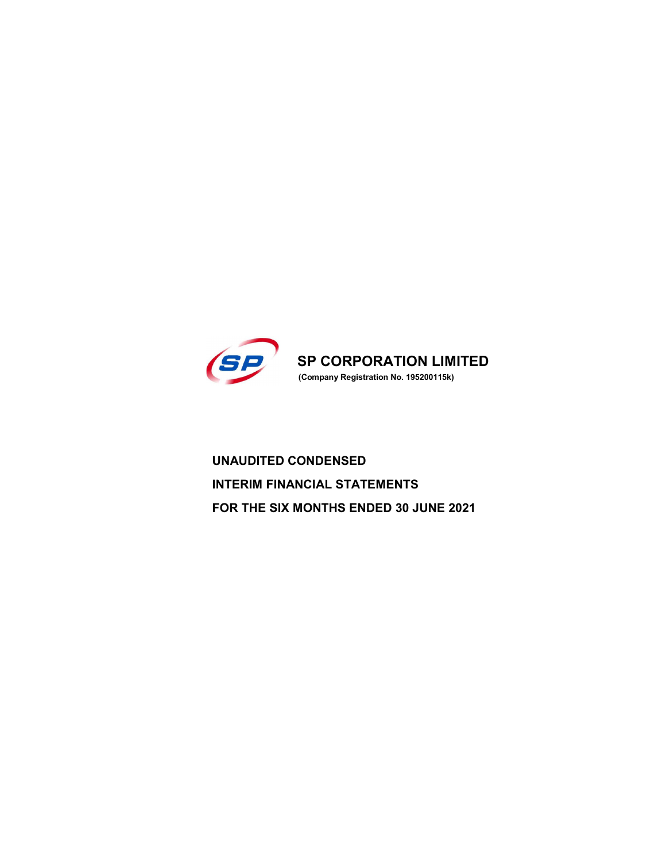

UNAUDITED CONDENSED INTERIM FINANCIAL STATEMENTS FOR THE SIX MONTHS ENDED 30 JUNE 2021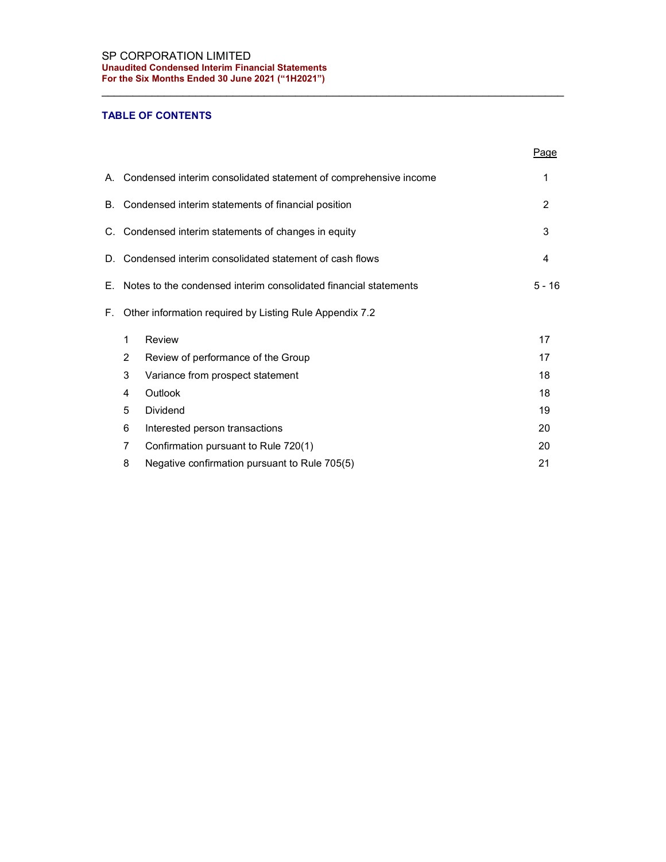# TABLE OF CONTENTS

|    |                                                      |                                                                  | Page     |  |  |  |  |  |
|----|------------------------------------------------------|------------------------------------------------------------------|----------|--|--|--|--|--|
| А. |                                                      | Condensed interim consolidated statement of comprehensive income | 1        |  |  |  |  |  |
| В. |                                                      | Condensed interim statements of financial position               | 2        |  |  |  |  |  |
|    | C. Condensed interim statements of changes in equity |                                                                  |          |  |  |  |  |  |
|    |                                                      | D. Condensed interim consolidated statement of cash flows        | 4        |  |  |  |  |  |
| Е. |                                                      | Notes to the condensed interim consolidated financial statements | $5 - 16$ |  |  |  |  |  |
| F. |                                                      | Other information required by Listing Rule Appendix 7.2          |          |  |  |  |  |  |
|    | 1                                                    | Review                                                           | 17       |  |  |  |  |  |
|    | 2                                                    | Review of performance of the Group                               | 17       |  |  |  |  |  |
|    | 3                                                    | Variance from prospect statement                                 | 18       |  |  |  |  |  |
|    | 4                                                    | Outlook                                                          | 18       |  |  |  |  |  |
|    | 5                                                    | Dividend                                                         | 19       |  |  |  |  |  |
|    | 6                                                    | Interested person transactions                                   | 20       |  |  |  |  |  |
|    | 7                                                    | Confirmation pursuant to Rule 720(1)                             | 20       |  |  |  |  |  |
|    | 8                                                    | Negative confirmation pursuant to Rule 705(5)                    | 21       |  |  |  |  |  |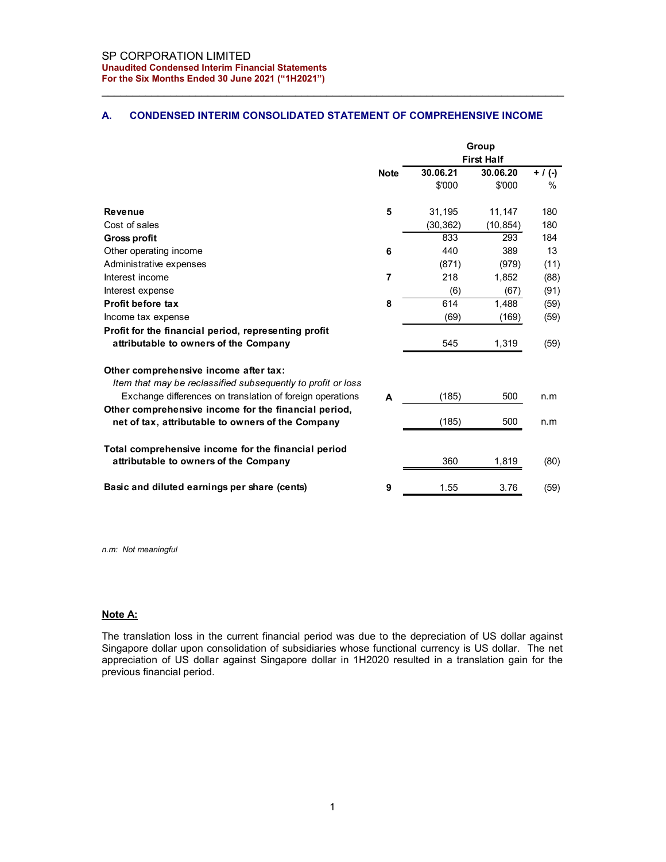## A. CONDENSED INTERIM CONSOLIDATED STATEMENT OF COMPREHENSIVE INCOME

| SP CORPORATION LIMITED                                                        |                |           |                            |             |
|-------------------------------------------------------------------------------|----------------|-----------|----------------------------|-------------|
| <b>Unaudited Condensed Interim Financial Statements</b>                       |                |           |                            |             |
| For the Six Months Ended 30 June 2021 ("1H2021")                              |                |           |                            |             |
|                                                                               |                |           |                            |             |
|                                                                               |                |           |                            |             |
| <b>CONDENSED INTERIM CONSOLIDATED STATEMENT OF COMPREHENSIVE INCOME</b><br>А. |                |           |                            |             |
|                                                                               |                |           |                            |             |
|                                                                               |                |           | Group<br><b>First Half</b> |             |
|                                                                               | <b>Note</b>    | 30.06.21  | 30.06.20                   | $+ / ( - )$ |
|                                                                               |                | \$'000    | \$'000                     | %           |
|                                                                               |                |           |                            |             |
| <b>Revenue</b>                                                                | 5              | 31,195    | 11,147                     | 180         |
| Cost of sales                                                                 |                | (30, 362) | (10, 854)                  | 180         |
| <b>Gross profit</b>                                                           |                | 833       | 293                        | 184         |
| Other operating income                                                        | 6              | 440       | 389                        | 13          |
| Administrative expenses                                                       |                | (871)     | (979)                      | (11)        |
| Interest income                                                               | $\overline{7}$ | 218       | 1,852                      | (88)        |
| Interest expense                                                              |                | (6)       | (67)                       | (91)        |
| Profit before tax                                                             | 8              | 614       | 1,488                      | (59)        |
| Income tax expense                                                            |                | (69)      | (169)                      | (59)        |
| Profit for the financial period, representing profit                          |                |           |                            |             |
| attributable to owners of the Company                                         |                | 545       | 1,319                      | (59)        |
|                                                                               |                |           |                            |             |
| Other comprehensive income after tax:                                         |                |           |                            |             |
| Item that may be reclassified subsequently to profit or loss                  |                |           |                            |             |
| Exchange differences on translation of foreign operations                     | Α              | (185)     | 500                        | n.m         |
| Other comprehensive income for the financial period,                          |                |           |                            |             |
| net of tax, attributable to owners of the Company                             |                | (185)     | 500                        | n.m         |
|                                                                               |                |           |                            |             |
| Total comprehensive income for the financial period                           |                |           |                            |             |
| attributable to owners of the Company                                         |                | 360       | 1,819                      | (80)        |
| Basic and diluted earnings per share (cents)                                  |                |           |                            |             |
|                                                                               | 9              | 1.55      | 3.76                       | (59)        |

n.m: Not meaningful

### Note A:

The translation loss in the current financial period was due to the depreciation of US dollar against Singapore dollar upon consolidation of subsidiaries whose functional currency is US dollar. The net appreciation of US dollar against Singapore dollar in 1H2020 resulted in a translation gain for the previous financial period.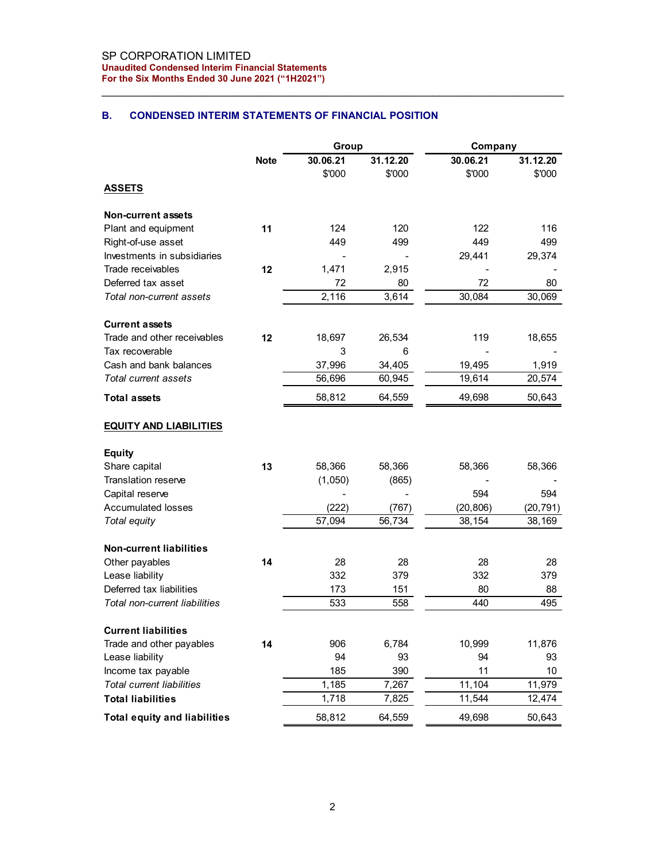## B. CONDENSED INTERIM STATEMENTS OF FINANCIAL POSITION

| SP CORPORATION LIMITED<br><b>Unaudited Condensed Interim Financial Statements</b><br>For the Six Months Ended 30 June 2021 ("1H2021") |             |                         |                    |                                |                                |
|---------------------------------------------------------------------------------------------------------------------------------------|-------------|-------------------------|--------------------|--------------------------------|--------------------------------|
|                                                                                                                                       |             |                         |                    |                                |                                |
|                                                                                                                                       |             |                         |                    |                                |                                |
|                                                                                                                                       |             |                         |                    |                                |                                |
|                                                                                                                                       |             |                         |                    |                                |                                |
|                                                                                                                                       |             |                         |                    |                                |                                |
|                                                                                                                                       |             |                         |                    |                                |                                |
|                                                                                                                                       |             |                         |                    |                                |                                |
| В.<br><b>CONDENSED INTERIM STATEMENTS OF FINANCIAL POSITION</b>                                                                       |             |                         |                    |                                |                                |
|                                                                                                                                       |             |                         |                    |                                |                                |
|                                                                                                                                       |             | Group                   |                    | Company                        |                                |
|                                                                                                                                       | <b>Note</b> | 30.06.21<br>\$'000      | 31.12.20<br>\$'000 | 30.06.21<br>\$'000             | 31.12.20<br>\$'000             |
| <b>ASSETS</b>                                                                                                                         |             |                         |                    |                                |                                |
|                                                                                                                                       |             |                         |                    |                                |                                |
| <b>Non-current assets</b>                                                                                                             |             |                         |                    |                                |                                |
| Plant and equipment                                                                                                                   | 11          | 124                     | 120                | 122                            | 116                            |
| Right-of-use asset                                                                                                                    |             | 449                     | 499                | 449                            | 499                            |
| Investments in subsidiaries<br>Trade receivables                                                                                      | 12          | $\blacksquare$<br>1,471 | $\overline{a}$     | 29,441                         | 29,374                         |
| Deferred tax asset                                                                                                                    |             | 72                      | 2,915<br>80        | $\overline{\phantom{a}}$<br>72 | $\overline{\phantom{0}}$<br>80 |
| Total non-current assets                                                                                                              |             | 2,116                   | 3,614              | 30,084                         | 30,069                         |
|                                                                                                                                       |             |                         |                    |                                |                                |
| <b>Current assets</b>                                                                                                                 |             |                         |                    |                                |                                |
| Trade and other receivables                                                                                                           | 12          | 18,697                  | 26,534             | 119                            | 18,655                         |
| Tax recoverable                                                                                                                       |             | 3                       | 6                  |                                |                                |
| Cash and bank balances                                                                                                                |             | 37,996                  | 34,405             | 19,495                         | 1,919                          |
| Total current assets                                                                                                                  |             | 56,696                  | 60,945             | 19,614                         | 20,574                         |
| <b>Total assets</b>                                                                                                                   |             | 58,812                  | 64,559             | 49,698                         | 50,643                         |
|                                                                                                                                       |             |                         |                    |                                |                                |
| <b>EQUITY AND LIABILITIES</b>                                                                                                         |             |                         |                    |                                |                                |
| <b>Equity</b>                                                                                                                         |             |                         |                    |                                |                                |
| Share capital                                                                                                                         | 13          | 58,366                  | 58,366             | 58,366                         | 58,366                         |
| Translation reserve                                                                                                                   |             | (1,050)                 | (865)              |                                |                                |
| Capital reserve                                                                                                                       |             |                         |                    | 594                            | 594                            |
| <b>Accumulated losses</b>                                                                                                             |             | (222)                   | (767)              | (20, 806)                      | (20, 791)                      |
| Total equity                                                                                                                          |             | 57,094                  | 56,734             | 38,154                         | 38,169                         |
| <b>Non-current liabilities</b>                                                                                                        |             |                         |                    |                                |                                |
| Other payables                                                                                                                        | 14          | 28                      | 28                 | 28                             | 28                             |
| Lease liability                                                                                                                       |             | 332                     | 379                | 332                            | 379                            |
| Deferred tax liabilities                                                                                                              |             | 173                     | 151                | 80                             | 88                             |
| Total non-current liabilities                                                                                                         |             | 533                     | 558                | 440                            | 495                            |
|                                                                                                                                       |             |                         |                    |                                |                                |
| <b>Current liabilities</b><br>Trade and other payables                                                                                | 14          | 906                     | 6,784              | 10,999                         | 11,876                         |
| Lease liability                                                                                                                       |             | 94                      | 93                 | 94                             | 93                             |
| Income tax payable                                                                                                                    |             | 185                     | 390                | 11                             | $10\,$                         |
| <b>Total current liabilities</b>                                                                                                      |             | 1,185                   | 7,267              | 11,104                         | 11,979                         |
| <b>Total liabilities</b>                                                                                                              |             | 1,718                   | 7,825              | 11,544                         | 12,474                         |
|                                                                                                                                       |             | 58,812                  | 64,559             | 49,698                         |                                |
| <b>Total equity and liabilities</b>                                                                                                   |             |                         |                    |                                | 50,643                         |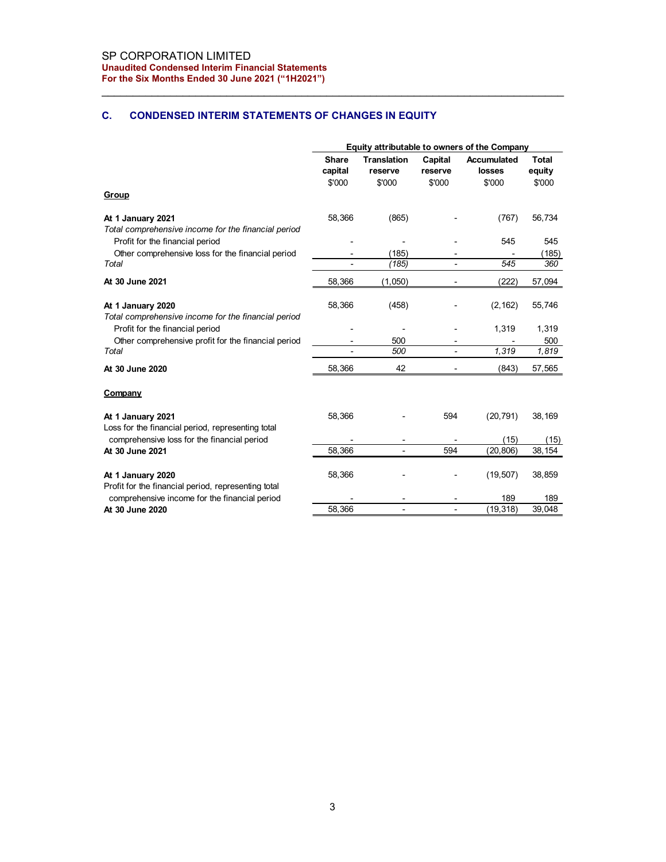# C. CONDENSED INTERIM STATEMENTS OF CHANGES IN EQUITY

| SP CORPORATION LIMITED<br><b>Unaudited Condensed Interim Financial Statements</b> |                                                      |                                  |                                                      |                                              |                                  |
|-----------------------------------------------------------------------------------|------------------------------------------------------|----------------------------------|------------------------------------------------------|----------------------------------------------|----------------------------------|
| For the Six Months Ended 30 June 2021 ("1H2021")                                  |                                                      |                                  |                                                      |                                              |                                  |
| C.<br><b>CONDENSED INTERIM STATEMENTS OF CHANGES IN EQUITY</b>                    |                                                      |                                  |                                                      |                                              |                                  |
|                                                                                   |                                                      |                                  |                                                      | Equity attributable to owners of the Company |                                  |
|                                                                                   | Share<br>capital<br>\$'000                           | Translation<br>reserve<br>\$'000 | Capital<br>reserve<br>\$'000                         | Accumulated<br>losses<br>\$'000              | <b>Total</b><br>equity<br>\$'000 |
| Group                                                                             |                                                      |                                  |                                                      |                                              |                                  |
| At 1 January 2021<br>Total comprehensive income for the financial period          | 58,366                                               | (865)                            |                                                      | (767)                                        | 56,734                           |
| Profit for the financial period                                                   |                                                      | $\overline{\phantom{a}}$         | $\overline{\phantom{a}}$                             | 545                                          | 545                              |
| Other comprehensive loss for the financial period<br>Total                        | $\overline{\phantom{a}}$<br>$\overline{\phantom{a}}$ | (185)<br>(185)                   | $\overline{\phantom{a}}$<br>$\overline{\phantom{a}}$ | $\overline{\phantom{a}}$<br>545              | (185)<br>360                     |
| At 30 June 2021                                                                   | 58,366                                               | (1,050)                          |                                                      | (222)                                        | 57,094                           |
|                                                                                   |                                                      |                                  |                                                      |                                              |                                  |
| At 1 January 2020<br>Total comprehensive income for the financial period          | 58,366                                               | (458)                            |                                                      | (2, 162)                                     | 55,746                           |
| Profit for the financial period                                                   |                                                      | ٠                                |                                                      | 1,319                                        | 1,319                            |
| Other comprehensive profit for the financial period<br>Total                      | $\blacksquare$<br>$\overline{\phantom{a}}$           | 500<br>500                       | $\overline{\phantom{a}}$<br>$\overline{\phantom{a}}$ | $\overline{\phantom{a}}$<br>1,319            | 500<br>1,819                     |
| At 30 June 2020                                                                   | 58,366                                               | 42                               |                                                      | (843)                                        | 57,565                           |
| Company                                                                           |                                                      |                                  |                                                      |                                              |                                  |
|                                                                                   |                                                      |                                  |                                                      |                                              |                                  |
| At 1 January 2021<br>Loss for the financial period, representing total            | 58,366                                               |                                  | 594                                                  | (20, 791)                                    | 38,169                           |
| comprehensive loss for the financial period                                       |                                                      | $\overline{\phantom{a}}$         | $\overline{\phantom{a}}$                             | (15)                                         | (15)                             |
| At 30 June 2021                                                                   | 58,366                                               | $\blacksquare$                   | 594                                                  | (20, 806)                                    | 38,154                           |
| At 1 January 2020<br>Profit for the financial period, representing total          | 58,366                                               |                                  | $\overline{\phantom{a}}$                             | (19, 507)                                    | 38,859                           |
| comprehensive income for the financial period                                     |                                                      |                                  | $\blacksquare$                                       | 189                                          | 189                              |
| At 30 June 2020                                                                   | 58,366                                               | $\overline{\phantom{a}}$         | $\blacksquare$                                       | (19, 318)                                    | 39,048                           |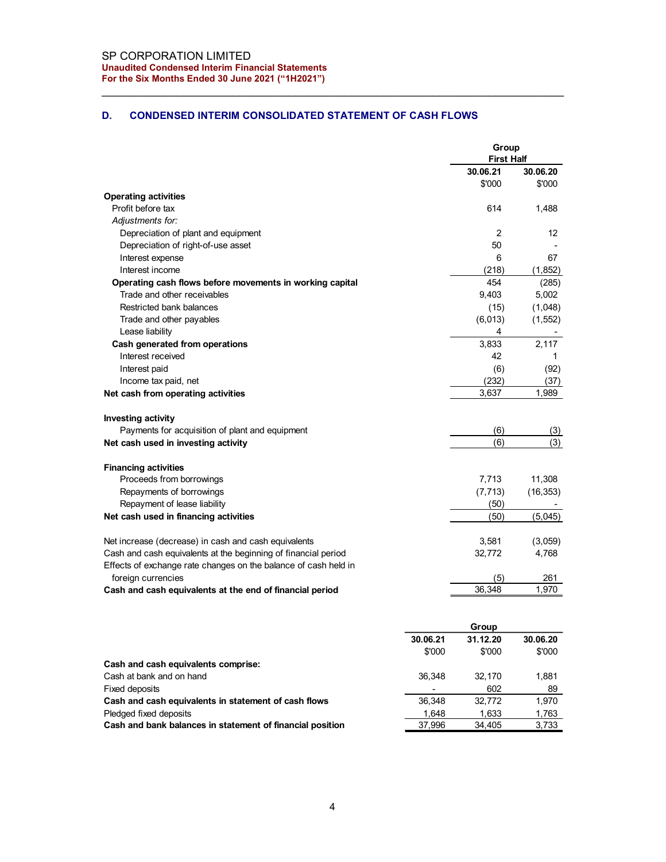# D. CONDENSED INTERIM CONSOLIDATED STATEMENT OF CASH FLOWS

| SP CORPORATION LIMITED                                                                  |                          |                    |                    |
|-----------------------------------------------------------------------------------------|--------------------------|--------------------|--------------------|
| <b>Unaudited Condensed Interim Financial Statements</b>                                 |                          |                    |                    |
| For the Six Months Ended 30 June 2021 ("1H2021")                                        |                          |                    |                    |
|                                                                                         |                          |                    |                    |
| D.<br><b>CONDENSED INTERIM CONSOLIDATED STATEMENT OF CASH FLOWS</b>                     |                          |                    |                    |
|                                                                                         |                          |                    |                    |
|                                                                                         |                          | Group              |                    |
|                                                                                         |                          | <b>First Half</b>  |                    |
|                                                                                         |                          | 30.06.21           | 30.06.20           |
|                                                                                         |                          | \$'000             | \$'000             |
| <b>Operating activities</b>                                                             |                          |                    |                    |
| Profit before tax                                                                       |                          | 614                | 1,488              |
| Adjustments for:<br>Depreciation of plant and equipment                                 |                          | $\overline{c}$     | 12                 |
| Depreciation of right-of-use asset                                                      |                          | 50                 |                    |
| Interest expense                                                                        |                          | 6                  | 67                 |
| Interest income                                                                         |                          | (218)              | (1,852)            |
| Operating cash flows before movements in working capital<br>Trade and other receivables |                          | 454<br>9,403       | (285)<br>5,002     |
| Restricted bank balances                                                                |                          | (15)               | (1,048)            |
| Trade and other payables                                                                |                          | (6,013)            | (1, 552)           |
| Lease liability                                                                         |                          | 4                  |                    |
| Cash generated from operations                                                          |                          | 3,833              | 2,117              |
| Interest received<br>Interest paid                                                      |                          | 42<br>(6)          | (92)               |
| Income tax paid, net                                                                    |                          | (232)              | (37)               |
| Net cash from operating activities                                                      |                          | 3,637              | 1,989              |
|                                                                                         |                          |                    |                    |
| Investing activity                                                                      |                          |                    |                    |
| Payments for acquisition of plant and equipment<br>Net cash used in investing activity  |                          | (6)<br>(6)         | (3)<br>(3)         |
|                                                                                         |                          |                    |                    |
| <b>Financing activities</b>                                                             |                          |                    |                    |
| Proceeds from borrowings                                                                |                          | 7,713              | 11,308             |
| Repayments of borrowings                                                                |                          | (7, 713)           | (16, 353)          |
| Repayment of lease liability<br>Net cash used in financing activities                   |                          | (50)<br>(50)       | (5,045)            |
|                                                                                         |                          |                    |                    |
| Net increase (decrease) in cash and cash equivalents                                    |                          | 3,581              | (3,059)            |
| Cash and cash equivalents at the beginning of financial period                          |                          | 32,772             | 4,768              |
| Effects of exchange rate changes on the balance of cash held in<br>foreign currencies   |                          | (5)                |                    |
| Cash and cash equivalents at the end of financial period                                |                          | 36,348             | 261<br>1,970       |
|                                                                                         |                          |                    |                    |
|                                                                                         |                          |                    |                    |
|                                                                                         |                          | Group              |                    |
|                                                                                         | 30.06.21<br>\$'000       | 31.12.20<br>\$'000 | 30.06.20<br>\$'000 |
| Cash and cash equivalents comprise:                                                     |                          |                    |                    |
| Cash at bank and on hand                                                                | 36,348                   | 32,170             | 1,881              |
| Fixed deposits                                                                          | $\overline{\phantom{a}}$ | 602                | 89                 |
| Cash and cash equivalents in statement of cash flows                                    | 36,348                   | 32,772             | 1,970              |
| Pledged fixed deposits<br>Cash and bank balances in statement of financial position     | 1,648<br>37,996          | 1,633<br>34,405    | 1,763<br>3,733     |
|                                                                                         |                          |                    |                    |

|                                                           |          | Group    |          |
|-----------------------------------------------------------|----------|----------|----------|
|                                                           | 30.06.21 | 31.12.20 | 30.06.20 |
|                                                           | \$'000   | \$'000   | \$'000   |
| Cash and cash equivalents comprise:                       |          |          |          |
| Cash at bank and on hand                                  | 36.348   | 32.170   | .881     |
| Fixed deposits                                            |          | 602      | 89       |
| Cash and cash equivalents in statement of cash flows      | 36,348   | 32.772   | 1,970    |
| Pledged fixed deposits                                    | 1,648    | 1,633    | 1,763    |
| Cash and bank balances in statement of financial position | 37,996   | 34,405   | 3,733    |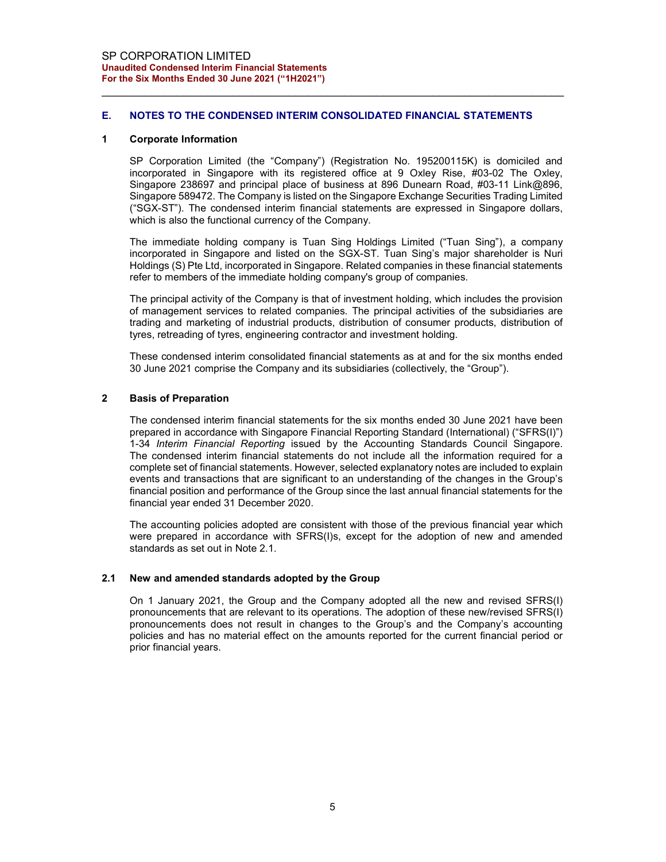## E. NOTES TO THE CONDENSED INTERIM CONSOLIDATED FINANCIAL STATEMENTS

#### 1 Corporate Information

SP Corporation Limited (the "Company") (Registration No. 195200115K) is domiciled and incorporated in Singapore with its registered office at 9 Oxley Rise, #03-02 The Oxley, Singapore 238697 and principal place of business at 896 Dunearn Road, #03-11 Link@896, Singapore 589472. The Company is listed on the Singapore Exchange Securities Trading Limited ("SGX-ST"). The condensed interim financial statements are expressed in Singapore dollars, which is also the functional currency of the Company.

The immediate holding company is Tuan Sing Holdings Limited ("Tuan Sing"), a company incorporated in Singapore and listed on the SGX-ST. Tuan Sing's major shareholder is Nuri Holdings (S) Pte Ltd, incorporated in Singapore. Related companies in these financial statements refer to members of the immediate holding company's group of companies.

The principal activity of the Company is that of investment holding, which includes the provision of management services to related companies. The principal activities of the subsidiaries are trading and marketing of industrial products, distribution of consumer products, distribution of tyres, retreading of tyres, engineering contractor and investment holding.

These condensed interim consolidated financial statements as at and for the six months ended 30 June 2021 comprise the Company and its subsidiaries (collectively, the "Group").

## 2 Basis of Preparation

The condensed interim financial statements for the six months ended 30 June 2021 have been prepared in accordance with Singapore Financial Reporting Standard (International) ("SFRS(I)") 1-34 Interim Financial Reporting issued by the Accounting Standards Council Singapore. The condensed interim financial statements do not include all the information required for a complete set of financial statements. However, selected explanatory notes are included to explain events and transactions that are significant to an understanding of the changes in the Group's financial position and performance of the Group since the last annual financial statements for the financial year ended 31 December 2020.

The accounting policies adopted are consistent with those of the previous financial year which were prepared in accordance with SFRS(I)s, except for the adoption of new and amended standards as set out in Note 2.1.

#### 2.1 New and amended standards adopted by the Group

On 1 January 2021, the Group and the Company adopted all the new and revised SFRS(I) pronouncements that are relevant to its operations. The adoption of these new/revised SFRS(I) pronouncements does not result in changes to the Group's and the Company's accounting policies and has no material effect on the amounts reported for the current financial period or prior financial years.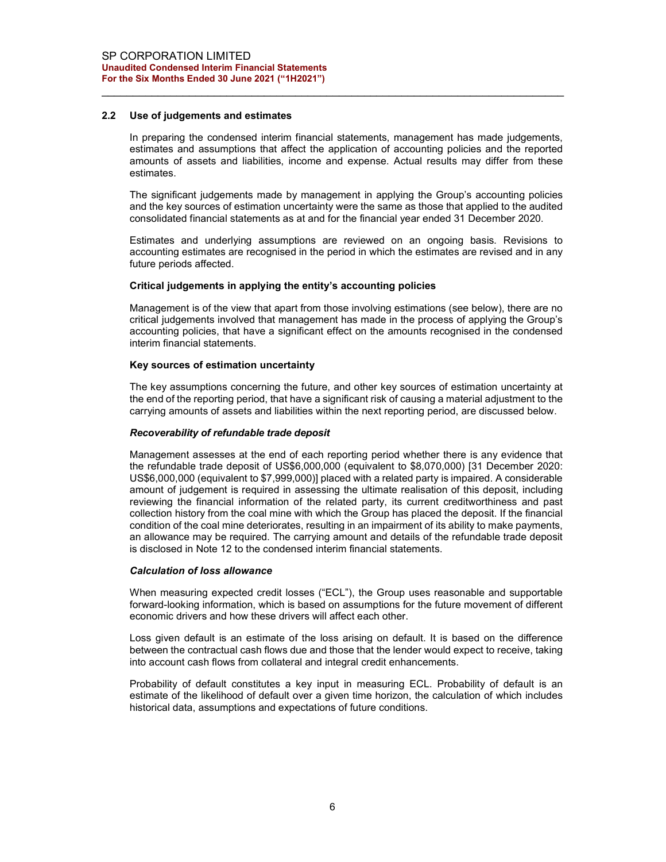#### 2.2 Use of judgements and estimates

In preparing the condensed interim financial statements, management has made judgements, estimates and assumptions that affect the application of accounting policies and the reported amounts of assets and liabilities, income and expense. Actual results may differ from these estimates.

The significant judgements made by management in applying the Group's accounting policies and the key sources of estimation uncertainty were the same as those that applied to the audited consolidated financial statements as at and for the financial year ended 31 December 2020.

Estimates and underlying assumptions are reviewed on an ongoing basis. Revisions to accounting estimates are recognised in the period in which the estimates are revised and in any future periods affected.

## Critical judgements in applying the entity's accounting policies

Management is of the view that apart from those involving estimations (see below), there are no critical judgements involved that management has made in the process of applying the Group's accounting policies, that have a significant effect on the amounts recognised in the condensed interim financial statements.

### Key sources of estimation uncertainty

The key assumptions concerning the future, and other key sources of estimation uncertainty at the end of the reporting period, that have a significant risk of causing a material adjustment to the carrying amounts of assets and liabilities within the next reporting period, are discussed below.

#### Recoverability of refundable trade deposit

Management assesses at the end of each reporting period whether there is any evidence that the refundable trade deposit of US\$6,000,000 (equivalent to \$8,070,000) [31 December 2020: US\$6,000,000 (equivalent to \$7,999,000)] placed with a related party is impaired. A considerable amount of judgement is required in assessing the ultimate realisation of this deposit, including reviewing the financial information of the related party, its current creditworthiness and past collection history from the coal mine with which the Group has placed the deposit. If the financial condition of the coal mine deteriorates, resulting in an impairment of its ability to make payments, an allowance may be required. The carrying amount and details of the refundable trade deposit is disclosed in Note 12 to the condensed interim financial statements.

#### Calculation of loss allowance

When measuring expected credit losses ("ECL"), the Group uses reasonable and supportable forward-looking information, which is based on assumptions for the future movement of different economic drivers and how these drivers will affect each other.

Loss given default is an estimate of the loss arising on default. It is based on the difference between the contractual cash flows due and those that the lender would expect to receive, taking into account cash flows from collateral and integral credit enhancements.

Probability of default constitutes a key input in measuring ECL. Probability of default is an estimate of the likelihood of default over a given time horizon, the calculation of which includes historical data, assumptions and expectations of future conditions.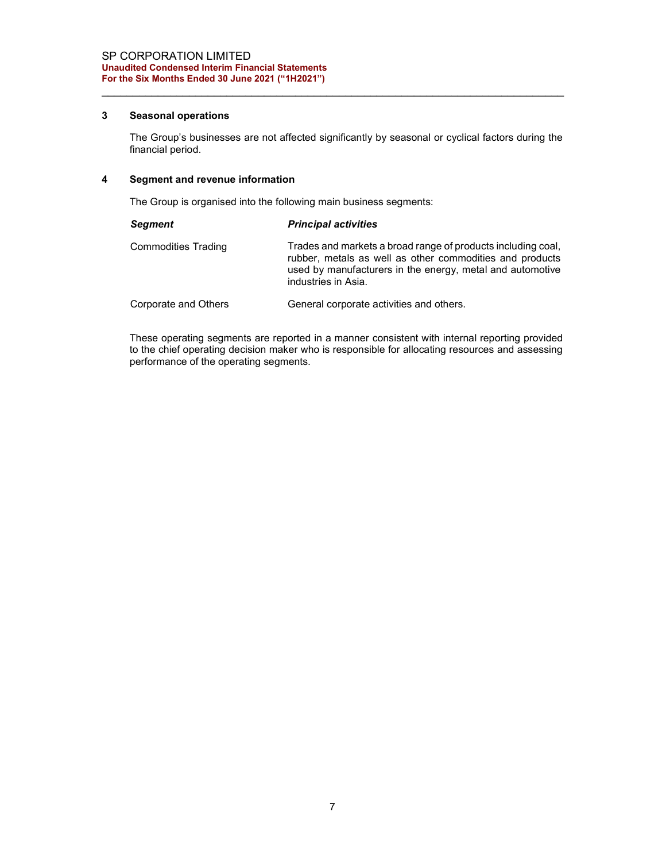## 3 Seasonal operations

The Group's businesses are not affected significantly by seasonal or cyclical factors during the financial period.

# 4 Segment and revenue information

The Group is organised into the following main business segments:

| <b>Segment</b>             | <b>Principal activities</b>                                                                                                                                                                                  |
|----------------------------|--------------------------------------------------------------------------------------------------------------------------------------------------------------------------------------------------------------|
| <b>Commodities Trading</b> | Trades and markets a broad range of products including coal,<br>rubber, metals as well as other commodities and products<br>used by manufacturers in the energy, metal and automotive<br>industries in Asia. |
| Corporate and Others       | General corporate activities and others.                                                                                                                                                                     |

These operating segments are reported in a manner consistent with internal reporting provided to the chief operating decision maker who is responsible for allocating resources and assessing performance of the operating segments.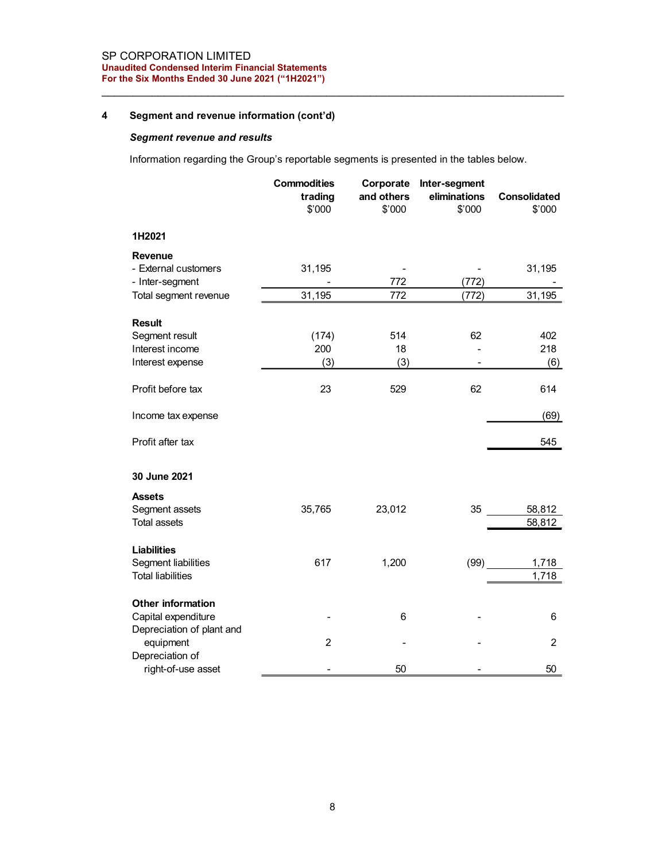# 4 Segment and revenue information (cont'd)

# Segment revenue and results

| Segment and revenue information (cont'd)<br><b>Segment revenue and results</b>          |                                         |                                 |                                                   |                        |
|-----------------------------------------------------------------------------------------|-----------------------------------------|---------------------------------|---------------------------------------------------|------------------------|
| Information regarding the Group's reportable segments is presented in the tables below. |                                         |                                 |                                                   |                        |
|                                                                                         | <b>Commodities</b><br>trading<br>\$'000 | and others<br>\$'000            | Corporate Inter-segment<br>eliminations<br>\$'000 | Consolidated<br>\$'000 |
| 1H2021                                                                                  |                                         |                                 |                                                   |                        |
| Revenue<br>- External customers<br>- Inter-segment                                      | 31,195                                  | $\overline{\phantom{0}}$<br>772 | $\blacksquare$<br>(772)                           | 31,195                 |
| Total segment revenue                                                                   | 31,195                                  | 772                             | (772)                                             | 31,195                 |
| <b>Result</b><br>Segment result<br>Interest income<br>Interest expense                  | (174)<br>200<br>(3)                     | 514<br>18<br>(3)                | 62<br>$\blacksquare$<br>$\blacksquare$            | 402<br>218<br>(6)      |
| Profit before tax                                                                       | 23                                      | 529                             | 62                                                | 614                    |
| Income tax expense                                                                      |                                         |                                 |                                                   | (69)                   |
| Profit after tax                                                                        |                                         |                                 |                                                   | 545                    |
|                                                                                         |                                         |                                 |                                                   |                        |
| 30 June 2021<br><b>Assets</b>                                                           |                                         |                                 |                                                   |                        |
| Segment assets<br>Total assets                                                          | 35,765                                  | 23,012                          | 35                                                | 58,812<br>58,812       |
| Liabilities<br>Segment liabilities<br><b>Total liabilities</b>                          | 617                                     | 1,200                           | (99)                                              | 1,718<br>1,718         |
| Other information<br>Capital expenditure<br>Depreciation of plant and                   |                                         | 6                               |                                                   | $\,6$                  |
| equipment<br>Depreciation of                                                            | $\overline{2}$                          |                                 |                                                   | $\overline{2}$         |
| right-of-use asset                                                                      |                                         | 50                              |                                                   | 50                     |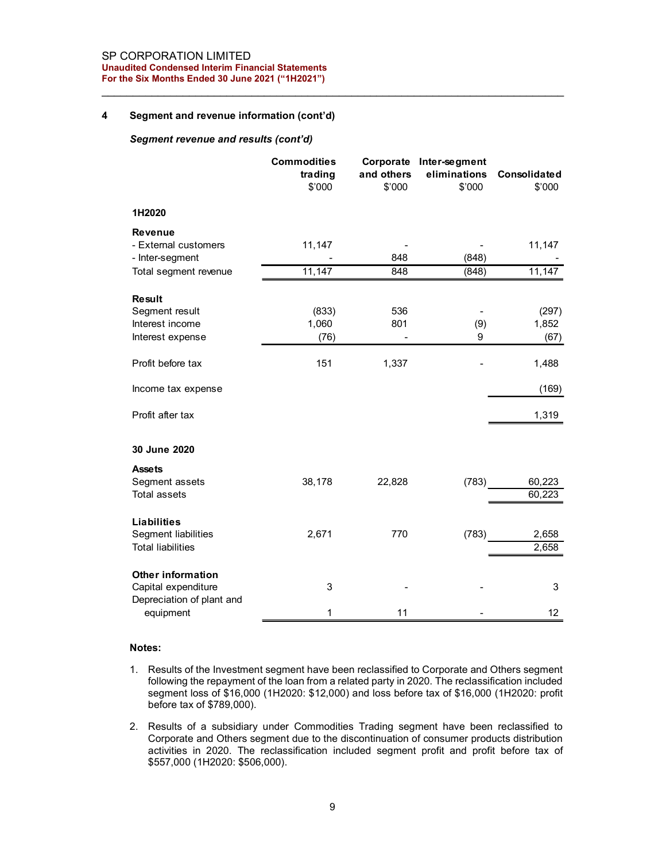#### SP CORPORATION LIMITED Unaudited Condensed Interim Financial Statements For the Six Months Ended 30 June 2021 ("1H2021")

## 4 Segment and revenue information (cont'd)

#### Segment revenue and results (cont'd)

| Segment and revenue information (cont'd)                              |                                         |                          |                                                   |                        |
|-----------------------------------------------------------------------|-----------------------------------------|--------------------------|---------------------------------------------------|------------------------|
| Segment revenue and results (cont'd)                                  |                                         |                          |                                                   |                        |
|                                                                       | <b>Commodities</b><br>trading<br>\$'000 | and others<br>\$'000     | Corporate Inter-segment<br>eliminations<br>\$'000 | Consolidated<br>\$'000 |
| 1H2020                                                                |                                         |                          |                                                   |                        |
| <b>Revenue</b><br>- External customers<br>- Inter-segment             | 11,147<br>$\blacksquare$                | 848                      | $\blacksquare$<br>(848)                           | 11,147                 |
| Total segment revenue                                                 | 11,147                                  | 848                      | (848)                                             | 11,147                 |
| <b>Result</b>                                                         |                                         |                          |                                                   |                        |
| Segment result<br>Interest income                                     | (833)<br>1,060                          | 536<br>801               | $\overline{\phantom{a}}$<br>(9)                   | (297)<br>1,852         |
| Interest expense                                                      | (76)                                    | $\overline{\phantom{0}}$ | 9                                                 | (67)                   |
| Profit before tax                                                     | 151                                     | 1,337                    |                                                   | 1,488                  |
| Income tax expense                                                    |                                         |                          |                                                   | (169)                  |
| Profit after tax                                                      |                                         |                          |                                                   | 1,319                  |
| 30 June 2020                                                          |                                         |                          |                                                   |                        |
| <b>Assets</b>                                                         |                                         |                          |                                                   |                        |
| Segment assets<br><b>Total assets</b>                                 | 38,178                                  | 22,828                   | (783)                                             | 60,223<br>60,223       |
|                                                                       |                                         |                          |                                                   |                        |
| <b>Liabilities</b><br>Segment liabilities<br><b>Total liabilities</b> | 2,671                                   | 770                      | (783)                                             | 2,658<br>2,658         |
| Other information<br>Capital expenditure                              | 3                                       |                          |                                                   | 3                      |
| Depreciation of plant and                                             |                                         |                          |                                                   | 12                     |

#### Notes:

- 1. Results of the Investment segment have been reclassified to Corporate and Others segment following the repayment of the loan from a related party in 2020. The reclassification included segment loss of \$16,000 (1H2020: \$12,000) and loss before tax of \$16,000 (1H2020: profit before tax of \$789,000).
- 2. Results of a subsidiary under Commodities Trading segment have been reclassified to Corporate and Others segment due to the discontinuation of consumer products distribution activities in 2020. The reclassification included segment profit and profit before tax of \$557,000 (1H2020: \$506,000).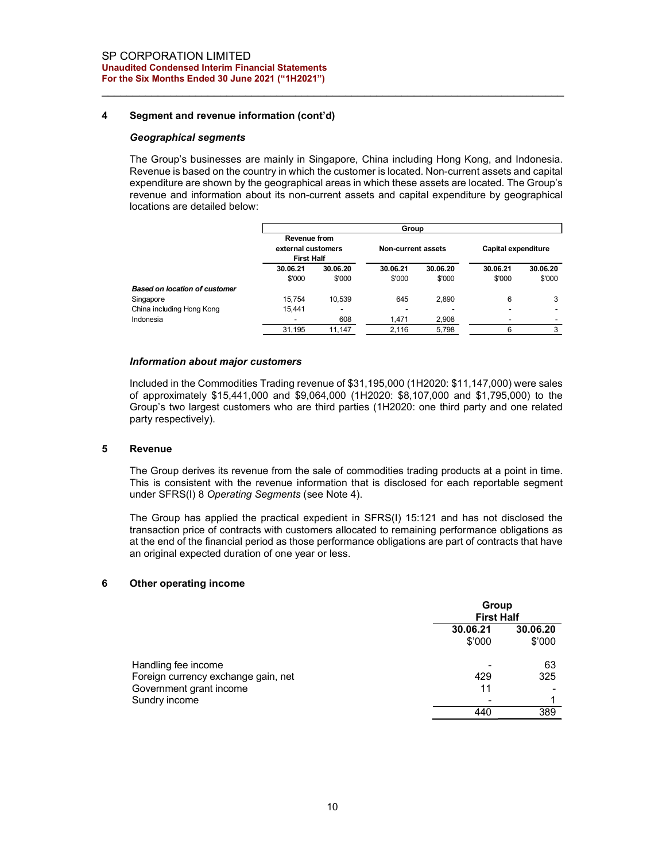## 4 Segment and revenue information (cont'd)

#### Geographical segments

| ORPORATION LIMITED<br>ited Condensed Interim Financial Statements                                |                               |          |                           |          |                            |              |
|--------------------------------------------------------------------------------------------------|-------------------------------|----------|---------------------------|----------|----------------------------|--------------|
| <b>Six Months Ended 30 June 2021 ("1H2021")</b>                                                  |                               |          |                           |          |                            |              |
|                                                                                                  |                               |          |                           |          |                            |              |
|                                                                                                  |                               |          |                           |          |                            |              |
| Segment and revenue information (cont'd)                                                         |                               |          |                           |          |                            |              |
| Geographical segments                                                                            |                               |          |                           |          |                            |              |
|                                                                                                  |                               |          |                           |          |                            |              |
|                                                                                                  |                               |          |                           |          |                            |              |
|                                                                                                  |                               |          |                           |          |                            |              |
| The Group's businesses are mainly in Singapore, China including Hong Kong, and Indonesia.        |                               |          |                           |          |                            |              |
| Revenue is based on the country in which the customer is located. Non-current assets and capital |                               |          |                           |          |                            |              |
| expenditure are shown by the geographical areas in which these assets are located. The Group's   |                               |          |                           |          |                            |              |
| revenue and information about its non-current assets and capital expenditure by geographical     |                               |          |                           |          |                            |              |
| locations are detailed below:                                                                    |                               |          |                           |          |                            |              |
|                                                                                                  |                               |          | Group                     |          |                            |              |
|                                                                                                  | Revenue from                  |          |                           |          |                            |              |
|                                                                                                  | external customers            |          | <b>Non-current assets</b> |          | <b>Capital expenditure</b> |              |
|                                                                                                  | <b>First Half</b><br>30.06.21 | 30.06.20 | 30.06.21                  | 30.06.20 | 30.06.21                   | 30.06.20     |
|                                                                                                  | \$'000                        | \$'000   | \$'000                    | \$'000   | \$'000                     | \$'000       |
| <b>Based on location of customer</b>                                                             |                               |          |                           |          |                            |              |
| Singapore                                                                                        | 15,754                        | 10,539   | 645                       | 2,890    | 6                          | 3            |
| China including Hong Kong                                                                        | 15,441                        |          |                           |          |                            |              |
| Indonesia                                                                                        | $\overline{\phantom{a}}$      | 608      | 1,471                     | 2,908    |                            | $\mathbf{3}$ |

#### Information about major customers

Included in the Commodities Trading revenue of \$31,195,000 (1H2020: \$11,147,000) were sales of approximately \$15,441,000 and \$9,064,000 (1H2020: \$8,107,000 and \$1,795,000) to the Group's two largest customers who are third parties (1H2020: one third party and one related party respectively).

#### 5 Revenue

The Group derives its revenue from the sale of commodities trading products at a point in time. This is consistent with the revenue information that is disclosed for each reportable segment under SFRS(I) 8 Operating Segments (see Note 4).

The Group has applied the practical expedient in SFRS(I) 15:121 and has not disclosed the transaction price of contracts with customers allocated to remaining performance obligations as at the end of the financial period as those performance obligations are part of contracts that have an original expected duration of one year or less.

#### 6 Other operating income

|                                                            | Group<br><b>First Half</b> |                    |
|------------------------------------------------------------|----------------------------|--------------------|
|                                                            | 30.06.21<br>\$'000         | 30.06.20<br>\$'000 |
| Handling fee income<br>Foreign currency exchange gain, net | 429                        | 63<br>325          |
| Government grant income<br>Sundry income                   | 11                         |                    |
|                                                            | 440                        | 389                |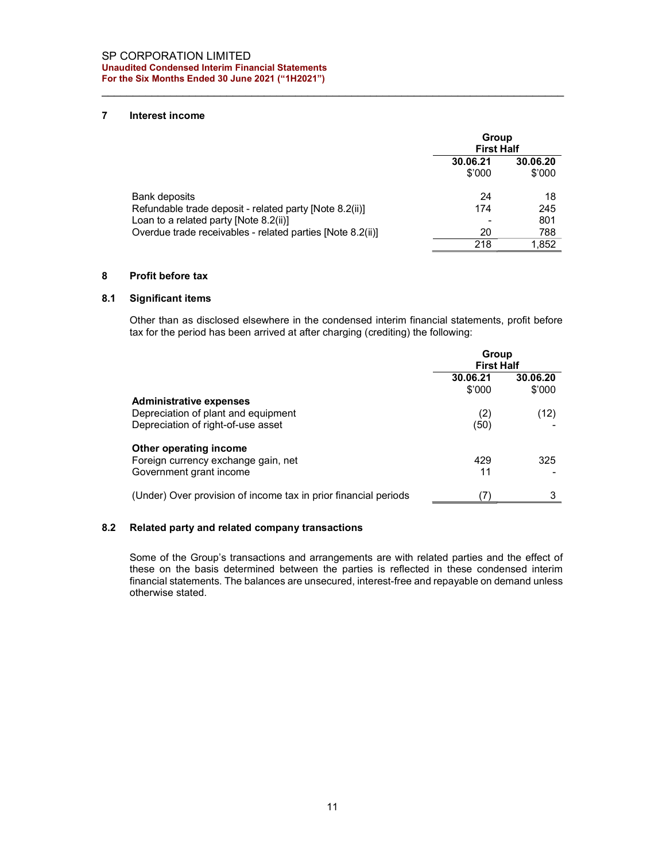## 7 Interest income

|                                                                                                         | Group<br><b>First Half</b> |                    |
|---------------------------------------------------------------------------------------------------------|----------------------------|--------------------|
|                                                                                                         | 30.06.21<br>\$'000         | 30.06.20<br>\$'000 |
| Bank deposits<br>Refundable trade deposit - related party [Note 8.2(ii)]                                | 24<br>174                  | 18<br>245          |
| Loan to a related party [Note $8.2$ (ii)]<br>Overdue trade receivables - related parties [Note 8.2(ii)] | 20                         | 801<br>788         |
|                                                                                                         | 218                        | 1.852              |

## 8 Profit before tax

### 8.1 Significant items

Other than as disclosed elsewhere in the condensed interim financial statements, profit before tax for the period has been arrived at after charging (crediting) the following:

|                                                                 | Group<br><b>First Half</b> |                    |
|-----------------------------------------------------------------|----------------------------|--------------------|
|                                                                 | 30.06.21<br>\$'000         | 30.06.20<br>\$'000 |
| <b>Administrative expenses</b>                                  |                            |                    |
| Depreciation of plant and equipment                             | (2)                        | (12)               |
| Depreciation of right-of-use asset                              | (50)                       |                    |
| Other operating income                                          |                            |                    |
| Foreign currency exchange gain, net                             | 429                        | 325                |
| Government grant income                                         | 11                         |                    |
| (Under) Over provision of income tax in prior financial periods |                            |                    |

# 8.2 Related party and related company transactions

Some of the Group's transactions and arrangements are with related parties and the effect of these on the basis determined between the parties is reflected in these condensed interim financial statements. The balances are unsecured, interest-free and repayable on demand unless otherwise stated.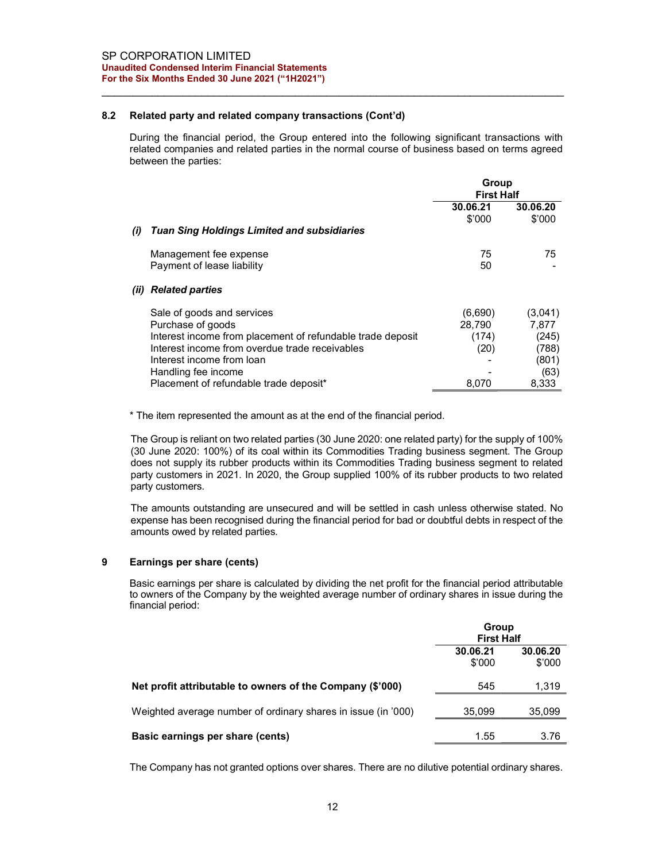## 8.2 Related party and related company transactions (Cont'd)

During the financial period, the Group entered into the following significant transactions with related companies and related parties in the normal course of business based on terms agreed between the parties:

|      |                                                            | Group<br><b>First Half</b> |          |
|------|------------------------------------------------------------|----------------------------|----------|
|      |                                                            | 30.06.21                   | 30.06.20 |
|      |                                                            | \$'000                     | \$'000   |
| (i)  | Tuan Sing Holdings Limited and subsidiaries                |                            |          |
|      | Management fee expense                                     | 75                         | 75       |
|      | Payment of lease liability                                 | 50                         |          |
| (ii) | <b>Related parties</b>                                     |                            |          |
|      | Sale of goods and services                                 | (6,690)                    | (3,041)  |
|      | Purchase of goods                                          | 28.790                     | 7,877    |
|      | Interest income from placement of refundable trade deposit | (174)                      | (245)    |
|      | Interest income from overdue trade receivables             | (20)                       | (788)    |
|      | Interest income from loan                                  |                            | (801)    |
|      | Handling fee income                                        |                            | (63)     |
|      | Placement of refundable trade deposit*                     | 8.070                      | 8.333    |

\* The item represented the amount as at the end of the financial period.

The Group is reliant on two related parties (30 June 2020: one related party) for the supply of 100% (30 June 2020: 100%) of its coal within its Commodities Trading business segment. The Group does not supply its rubber products within its Commodities Trading business segment to related party customers in 2021. In 2020, the Group supplied 100% of its rubber products to two related party customers.

The amounts outstanding are unsecured and will be settled in cash unless otherwise stated. No expense has been recognised during the financial period for bad or doubtful debts in respect of the amounts owed by related parties.

## 9 Earnings per share (cents)

Basic earnings per share is calculated by dividing the net profit for the financial period attributable to owners of the Company by the weighted average number of ordinary shares in issue during the financial period:

|                                                               | Group<br><b>First Half</b> |                    |
|---------------------------------------------------------------|----------------------------|--------------------|
|                                                               | 30.06.21<br>\$'000         | 30.06.20<br>\$'000 |
| Net profit attributable to owners of the Company (\$'000)     | 545                        | 1,319              |
| Weighted average number of ordinary shares in issue (in '000) | 35,099                     | 35,099             |
| Basic earnings per share (cents)                              | 1.55                       | 3.76               |

The Company has not granted options over shares. There are no dilutive potential ordinary shares.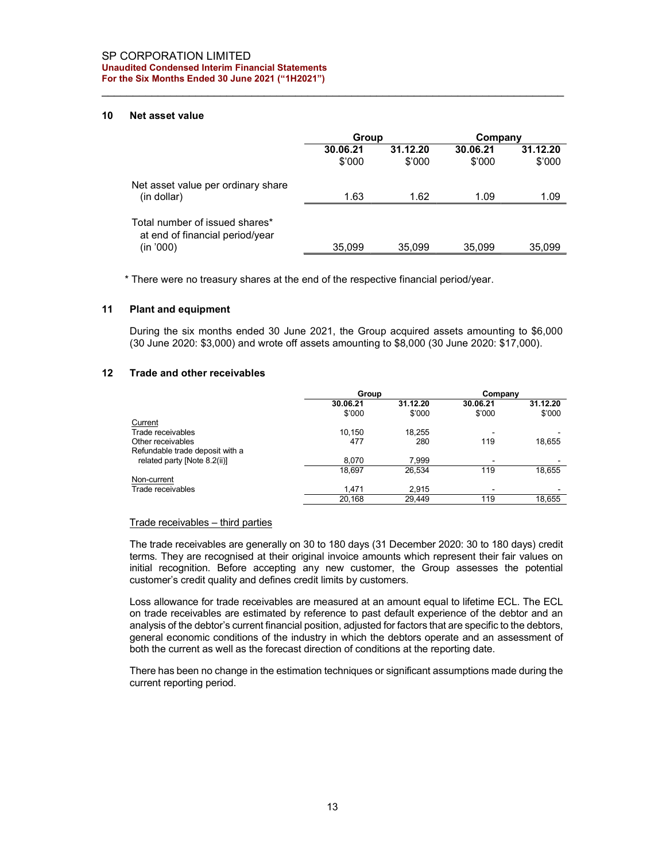#### SP CORPORATION LIMITED Unaudited Condensed Interim Financial Statements For the Six Months Ended 30 June 2021 ("1H2021")

## 10 Net asset value

|                                                                                | Group              |                    | Company            |                    |
|--------------------------------------------------------------------------------|--------------------|--------------------|--------------------|--------------------|
|                                                                                | 30.06.21<br>\$'000 | 31.12.20<br>\$'000 | 30.06.21<br>\$'000 | 31.12.20<br>\$'000 |
| Net asset value per ordinary share<br>(in dollar)                              | 1.63               | 1.62               | 1.09               | 1.09               |
| Total number of issued shares*<br>at end of financial period/year<br>(in '000) | 35,099             | 35,099             | 35,099             | 35,099             |

\* There were no treasury shares at the end of the respective financial period/year.

## 11 Plant and equipment

During the six months ended 30 June 2021, the Group acquired assets amounting to \$6,000 (30 June 2020: \$3,000) and wrote off assets amounting to \$8,000 (30 June 2020: \$17,000).

## 12 Trade and other receivables

|                                 | Group    |          | Company                  |          |
|---------------------------------|----------|----------|--------------------------|----------|
|                                 | 30.06.21 | 31.12.20 | 30.06.21                 | 31.12.20 |
|                                 | \$'000   | \$'000   | \$'000                   | \$'000   |
| Current                         |          |          |                          |          |
| Trade receivables               | 10.150   | 18,255   |                          |          |
| Other receivables               | 477      | 280      | 119                      | 18,655   |
| Refundable trade deposit with a |          |          |                          |          |
| related party [Note 8.2(ii)]    | 8.070    | 7.999    | $\overline{\phantom{a}}$ |          |
|                                 | 18.697   | 26.534   | 119                      | 18,655   |
| Non-current                     |          |          |                          |          |
| Trade receivables               | 1.471    | 2.915    |                          |          |
|                                 | 20.168   | 29.449   | 119                      | 18.655   |

#### Trade receivables – third parties

The trade receivables are generally on 30 to 180 days (31 December 2020: 30 to 180 days) credit terms. They are recognised at their original invoice amounts which represent their fair values on initial recognition. Before accepting any new customer, the Group assesses the potential customer's credit quality and defines credit limits by customers.

Loss allowance for trade receivables are measured at an amount equal to lifetime ECL. The ECL on trade receivables are estimated by reference to past default experience of the debtor and an analysis of the debtor's current financial position, adjusted for factors that are specific to the debtors, general economic conditions of the industry in which the debtors operate and an assessment of both the current as well as the forecast direction of conditions at the reporting date.

There has been no change in the estimation techniques or significant assumptions made during the current reporting period.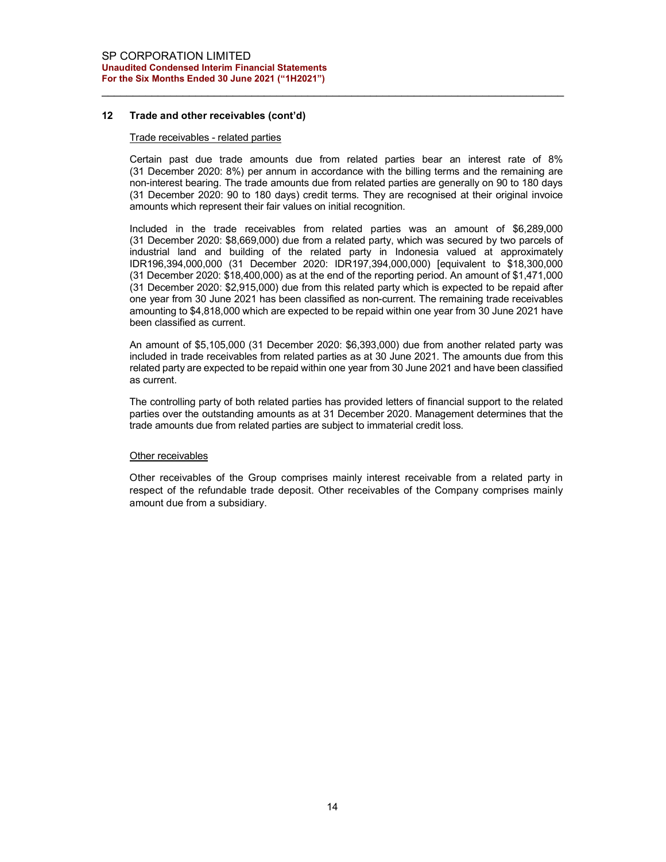## 12 Trade and other receivables (cont'd)

#### Trade receivables - related parties

Certain past due trade amounts due from related parties bear an interest rate of 8% (31 December 2020: 8%) per annum in accordance with the billing terms and the remaining are non-interest bearing. The trade amounts due from related parties are generally on 90 to 180 days (31 December 2020: 90 to 180 days) credit terms. They are recognised at their original invoice amounts which represent their fair values on initial recognition.

Included in the trade receivables from related parties was an amount of \$6,289,000 (31 December 2020: \$8,669,000) due from a related party, which was secured by two parcels of industrial land and building of the related party in Indonesia valued at approximately IDR196,394,000,000 (31 December 2020: IDR197,394,000,000) [equivalent to \$18,300,000 (31 December 2020: \$18,400,000) as at the end of the reporting period. An amount of \$1,471,000 (31 December 2020: \$2,915,000) due from this related party which is expected to be repaid after one year from 30 June 2021 has been classified as non-current. The remaining trade receivables amounting to \$4,818,000 which are expected to be repaid within one year from 30 June 2021 have been classified as current.

An amount of \$5,105,000 (31 December 2020: \$6,393,000) due from another related party was included in trade receivables from related parties as at 30 June 2021. The amounts due from this related party are expected to be repaid within one year from 30 June 2021 and have been classified as current.

The controlling party of both related parties has provided letters of financial support to the related parties over the outstanding amounts as at 31 December 2020. Management determines that the trade amounts due from related parties are subject to immaterial credit loss.

#### Other receivables

Other receivables of the Group comprises mainly interest receivable from a related party in respect of the refundable trade deposit. Other receivables of the Company comprises mainly amount due from a subsidiary.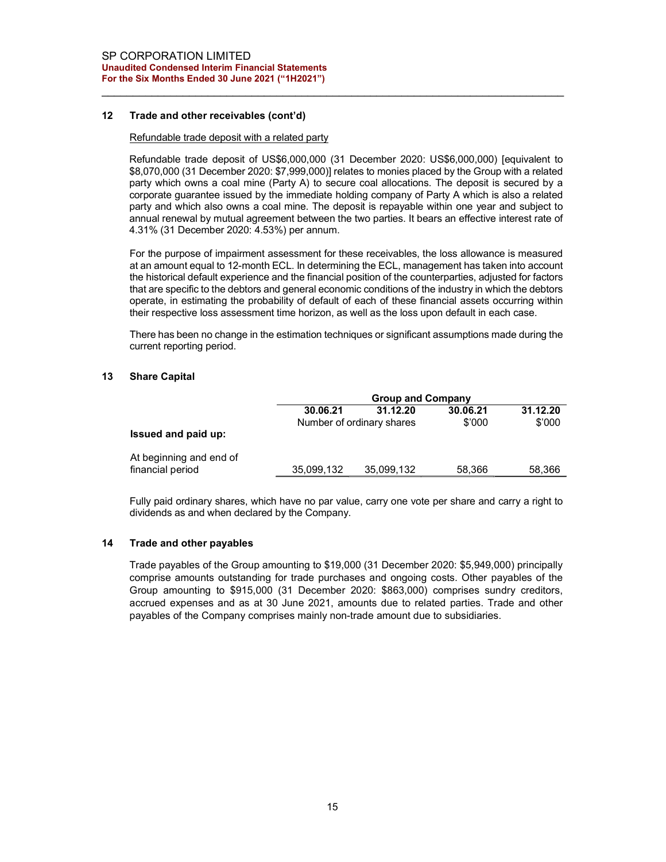## 12 Trade and other receivables (cont'd)

## Refundable trade deposit with a related party

Refundable trade deposit of US\$6,000,000 (31 December 2020: US\$6,000,000) [equivalent to \$8,070,000 (31 December 2020: \$7,999,000)] relates to monies placed by the Group with a related party which owns a coal mine (Party A) to secure coal allocations. The deposit is secured by a corporate guarantee issued by the immediate holding company of Party A which is also a related party and which also owns a coal mine. The deposit is repayable within one year and subject to annual renewal by mutual agreement between the two parties. It bears an effective interest rate of 4.31% (31 December 2020: 4.53%) per annum.

For the purpose of impairment assessment for these receivables, the loss allowance is measured at an amount equal to 12-month ECL. In determining the ECL, management has taken into account the historical default experience and the financial position of the counterparties, adjusted for factors that are specific to the debtors and general economic conditions of the industry in which the debtors operate, in estimating the probability of default of each of these financial assets occurring within their respective loss assessment time horizon, as well as the loss upon default in each case.

There has been no change in the estimation techniques or significant assumptions made during the current reporting period.

#### 13 Share Capital

|                                             |            | <b>Group and Company</b>  |          |          |
|---------------------------------------------|------------|---------------------------|----------|----------|
|                                             | 30.06.21   | 31.12.20                  | 30.06.21 | 31.12.20 |
| Issued and paid up:                         |            | Number of ordinary shares | \$'000   | \$'000   |
| At beginning and end of<br>financial period | 35,099,132 | 35,099,132                | 58,366   | 58,366   |

Fully paid ordinary shares, which have no par value, carry one vote per share and carry a right to dividends as and when declared by the Company.

#### 14 Trade and other payables

Trade payables of the Group amounting to \$19,000 (31 December 2020: \$5,949,000) principally comprise amounts outstanding for trade purchases and ongoing costs. Other payables of the Group amounting to \$915,000 (31 December 2020: \$863,000) comprises sundry creditors, accrued expenses and as at 30 June 2021, amounts due to related parties. Trade and other payables of the Company comprises mainly non-trade amount due to subsidiaries.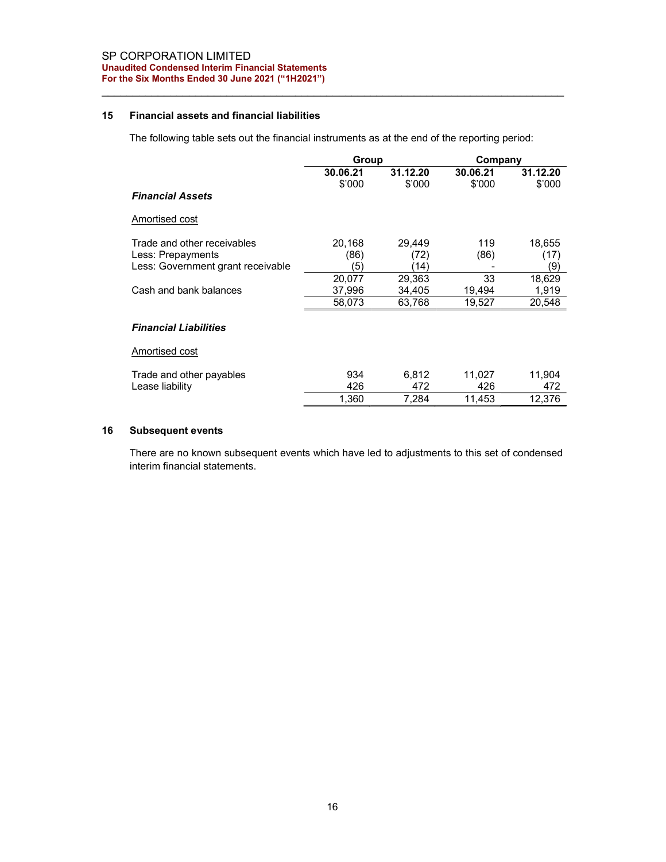## 15 Financial assets and financial liabilities

The following table sets out the financial instruments as at the end of the reporting period:

|                                   | Group    |          | Company  |          |
|-----------------------------------|----------|----------|----------|----------|
|                                   | 30.06.21 | 31.12.20 | 30.06.21 | 31.12.20 |
|                                   | \$'000   | \$'000   | \$'000   | \$'000   |
| <b>Financial Assets</b>           |          |          |          |          |
| Amortised cost                    |          |          |          |          |
| Trade and other receivables       | 20.168   | 29,449   | 119      | 18,655   |
| Less: Prepayments                 | (86)     | (72)     | (86)     | (17)     |
| Less: Government grant receivable | (5)      | ั14)     |          | (9)      |
|                                   | 20,077   | 29,363   | 33       | 18,629   |
| Cash and bank balances            | 37,996   | 34,405   | 19,494   | 1,919    |
|                                   | 58,073   | 63,768   | 19,527   | 20,548   |
| <b>Financial Liabilities</b>      |          |          |          |          |
| <b>Amortised cost</b>             |          |          |          |          |
| Trade and other payables          | 934      | 6,812    | 11,027   | 11,904   |
| Lease liability                   | 426      | 472      | 426      | 472      |
|                                   | 1,360    | 7,284    | 11,453   | 12,376   |
|                                   |          |          |          |          |

# 16 Subsequent events

There are no known subsequent events which have led to adjustments to this set of condensed interim financial statements.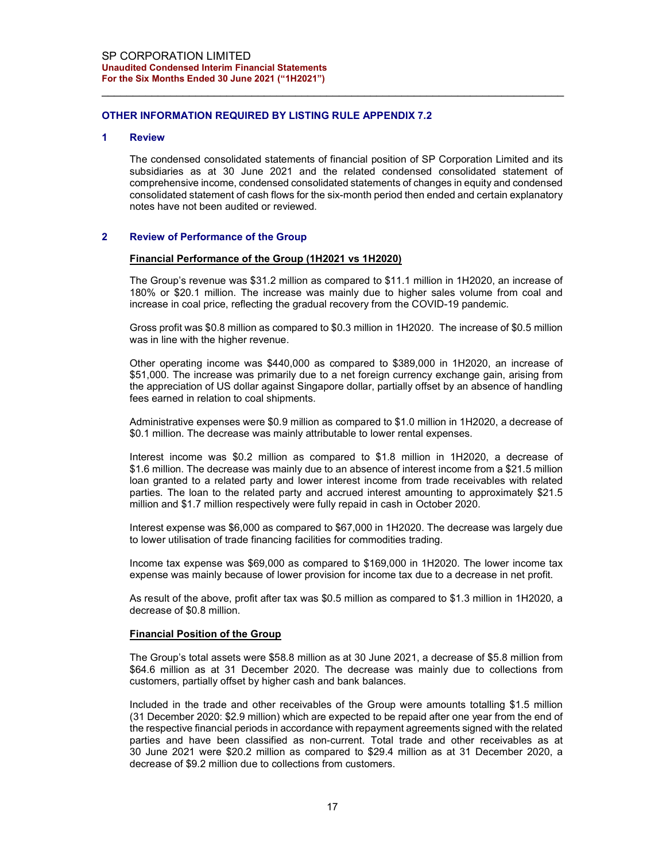#### OTHER INFORMATION REQUIRED BY LISTING RULE APPENDIX 7.2

#### 1 Review

The condensed consolidated statements of financial position of SP Corporation Limited and its subsidiaries as at 30 June 2021 and the related condensed consolidated statement of comprehensive income, condensed consolidated statements of changes in equity and condensed consolidated statement of cash flows for the six-month period then ended and certain explanatory notes have not been audited or reviewed.

#### 2 Review of Performance of the Group

#### Financial Performance of the Group (1H2021 vs 1H2020)

The Group's revenue was \$31.2 million as compared to \$11.1 million in 1H2020, an increase of 180% or \$20.1 million. The increase was mainly due to higher sales volume from coal and increase in coal price, reflecting the gradual recovery from the COVID-19 pandemic.

Gross profit was \$0.8 million as compared to \$0.3 million in 1H2020. The increase of \$0.5 million was in line with the higher revenue.

Other operating income was \$440,000 as compared to \$389,000 in 1H2020, an increase of \$51,000. The increase was primarily due to a net foreign currency exchange gain, arising from the appreciation of US dollar against Singapore dollar, partially offset by an absence of handling fees earned in relation to coal shipments.

Administrative expenses were \$0.9 million as compared to \$1.0 million in 1H2020, a decrease of \$0.1 million. The decrease was mainly attributable to lower rental expenses.

Interest income was \$0.2 million as compared to \$1.8 million in 1H2020, a decrease of \$1.6 million. The decrease was mainly due to an absence of interest income from a \$21.5 million loan granted to a related party and lower interest income from trade receivables with related parties. The loan to the related party and accrued interest amounting to approximately \$21.5 million and \$1.7 million respectively were fully repaid in cash in October 2020.

Interest expense was \$6,000 as compared to \$67,000 in 1H2020. The decrease was largely due to lower utilisation of trade financing facilities for commodities trading.

Income tax expense was \$69,000 as compared to \$169,000 in 1H2020. The lower income tax expense was mainly because of lower provision for income tax due to a decrease in net profit.

As result of the above, profit after tax was \$0.5 million as compared to \$1.3 million in 1H2020, a decrease of \$0.8 million.

#### Financial Position of the Group

The Group's total assets were \$58.8 million as at 30 June 2021, a decrease of \$5.8 million from \$64.6 million as at 31 December 2020. The decrease was mainly due to collections from customers, partially offset by higher cash and bank balances.

Included in the trade and other receivables of the Group were amounts totalling \$1.5 million (31 December 2020: \$2.9 million) which are expected to be repaid after one year from the end of the respective financial periods in accordance with repayment agreements signed with the related parties and have been classified as non-current. Total trade and other receivables as at 30 June 2021 were \$20.2 million as compared to \$29.4 million as at 31 December 2020, a decrease of \$9.2 million due to collections from customers.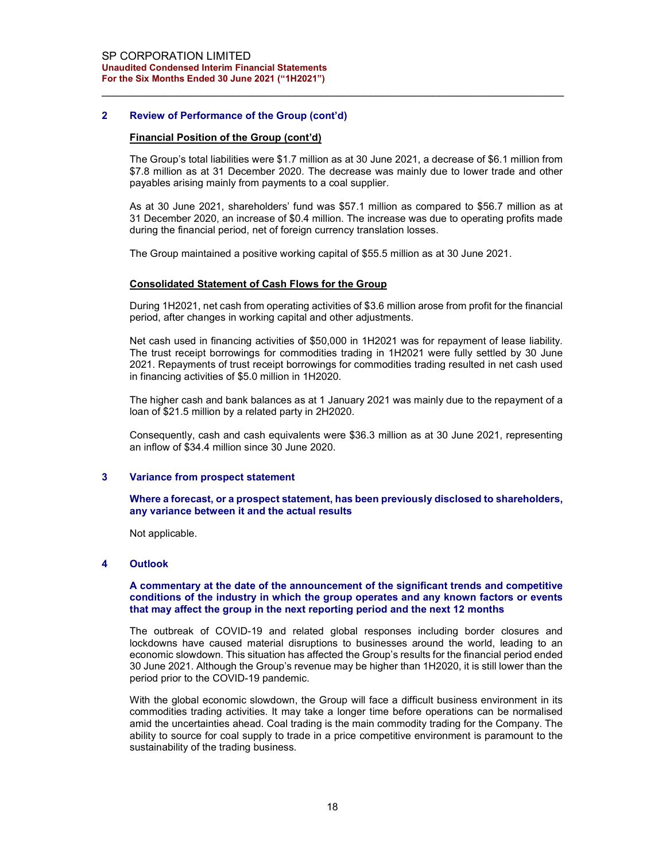## 2 Review of Performance of the Group (cont'd)

#### Financial Position of the Group (cont'd)

The Group's total liabilities were \$1.7 million as at 30 June 2021, a decrease of \$6.1 million from \$7.8 million as at 31 December 2020. The decrease was mainly due to lower trade and other payables arising mainly from payments to a coal supplier.

As at 30 June 2021, shareholders' fund was \$57.1 million as compared to \$56.7 million as at 31 December 2020, an increase of \$0.4 million. The increase was due to operating profits made during the financial period, net of foreign currency translation losses.

The Group maintained a positive working capital of \$55.5 million as at 30 June 2021.

#### Consolidated Statement of Cash Flows for the Group

During 1H2021, net cash from operating activities of \$3.6 million arose from profit for the financial period, after changes in working capital and other adjustments.

Net cash used in financing activities of \$50,000 in 1H2021 was for repayment of lease liability. The trust receipt borrowings for commodities trading in 1H2021 were fully settled by 30 June 2021. Repayments of trust receipt borrowings for commodities trading resulted in net cash used in financing activities of \$5.0 million in 1H2020.

The higher cash and bank balances as at 1 January 2021 was mainly due to the repayment of a loan of \$21.5 million by a related party in 2H2020.

Consequently, cash and cash equivalents were \$36.3 million as at 30 June 2021, representing an inflow of \$34.4 million since 30 June 2020.

#### 3 Variance from prospect statement

## Where a forecast, or a prospect statement, has been previously disclosed to shareholders, any variance between it and the actual results

Not applicable.

## 4 Outlook

#### A commentary at the date of the announcement of the significant trends and competitive conditions of the industry in which the group operates and any known factors or events that may affect the group in the next reporting period and the next 12 months

The outbreak of COVID-19 and related global responses including border closures and lockdowns have caused material disruptions to businesses around the world, leading to an economic slowdown. This situation has affected the Group's results for the financial period ended 30 June 2021. Although the Group's revenue may be higher than 1H2020, it is still lower than the period prior to the COVID-19 pandemic.

With the global economic slowdown, the Group will face a difficult business environment in its commodities trading activities. It may take a longer time before operations can be normalised amid the uncertainties ahead. Coal trading is the main commodity trading for the Company. The ability to source for coal supply to trade in a price competitive environment is paramount to the sustainability of the trading business.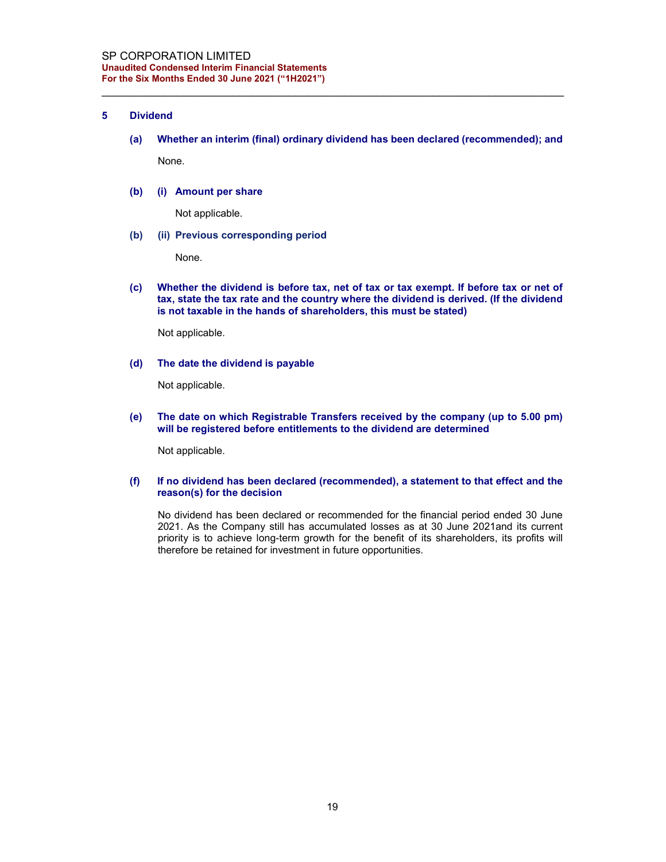#### 5 Dividend

(a) Whether an interim (final) ordinary dividend has been declared (recommended); and

None.

#### (b) (i) Amount per share

Not applicable.

#### (b) (ii) Previous corresponding period

None.

(c) Whether the dividend is before tax, net of tax or tax exempt. If before tax or net of tax, state the tax rate and the country where the dividend is derived. (If the dividend is not taxable in the hands of shareholders, this must be stated)

Not applicable.

## (d) The date the dividend is payable

Not applicable.

(e) The date on which Registrable Transfers received by the company (up to 5.00 pm) will be registered before entitlements to the dividend are determined

Not applicable.

### (f) If no dividend has been declared (recommended), a statement to that effect and the reason(s) for the decision

No dividend has been declared or recommended for the financial period ended 30 June 2021. As the Company still has accumulated losses as at 30 June 2021and its current priority is to achieve long-term growth for the benefit of its shareholders, its profits will therefore be retained for investment in future opportunities.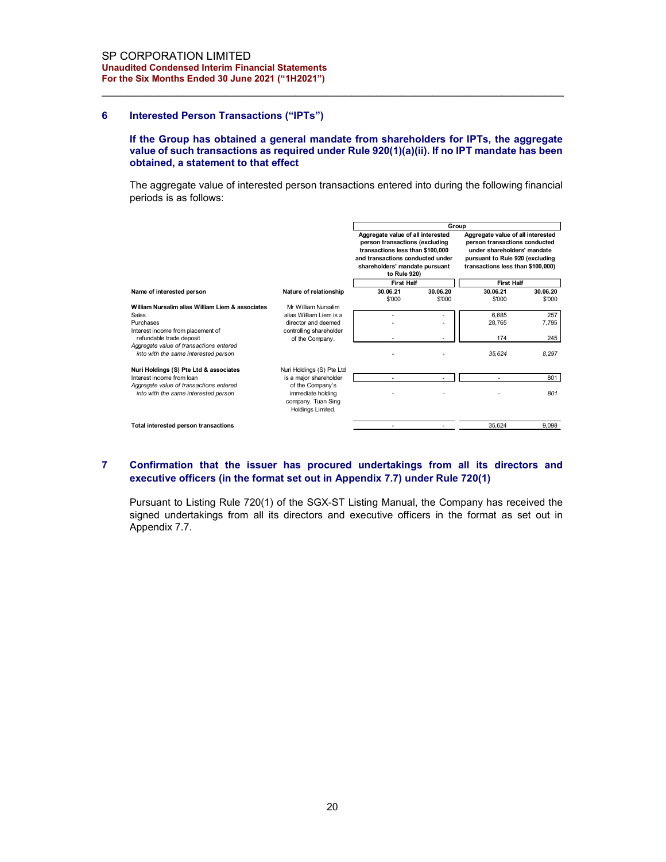#### 6 Interested Person Transactions ("IPTs")

#### If the Group has obtained a general mandate from shareholders for IPTs, the aggregate value of such transactions as required under Rule 920(1)(a)(ii). If no IPT mandate has been obtained, a statement to that effect

| dited Condensed Interim Financial Statements<br>ne Six Months Ended 30 June 2021 ("1H2021")                                                                                                                                  |                                                                                  |                                                                                                                                                                               |                          |                                                                                                                                                                                    |          |
|------------------------------------------------------------------------------------------------------------------------------------------------------------------------------------------------------------------------------|----------------------------------------------------------------------------------|-------------------------------------------------------------------------------------------------------------------------------------------------------------------------------|--------------------------|------------------------------------------------------------------------------------------------------------------------------------------------------------------------------------|----------|
| <b>Interested Person Transactions ("IPTs")</b>                                                                                                                                                                               |                                                                                  |                                                                                                                                                                               |                          |                                                                                                                                                                                    |          |
| If the Group has obtained a general mandate from shareholders for IPTs, the aggregate<br>value of such transactions as required under Rule 920(1)(a)(ii). If no IPT mandate has been<br>obtained, a statement to that effect |                                                                                  |                                                                                                                                                                               |                          |                                                                                                                                                                                    |          |
| The aggregate value of interested person transactions entered into during the following financial<br>periods is as follows:                                                                                                  |                                                                                  |                                                                                                                                                                               |                          |                                                                                                                                                                                    |          |
|                                                                                                                                                                                                                              |                                                                                  |                                                                                                                                                                               |                          |                                                                                                                                                                                    |          |
|                                                                                                                                                                                                                              |                                                                                  |                                                                                                                                                                               |                          |                                                                                                                                                                                    |          |
|                                                                                                                                                                                                                              |                                                                                  | Aggregate value of all interested<br>person transactions (excluding<br>transactions less than \$100,000<br>and transactions conducted under<br>shareholders' mandate pursuant |                          | Group<br>Aggregate value of all interested<br>person transactions conducted<br>under shareholders' mandate<br>pursuant to Rule 920 (excluding<br>transactions less than \$100,000) |          |
|                                                                                                                                                                                                                              |                                                                                  | to Rule 920)                                                                                                                                                                  |                          |                                                                                                                                                                                    |          |
| Name of interested person                                                                                                                                                                                                    | Nature of relationship                                                           | <b>First Half</b><br>30.06.21                                                                                                                                                 | 30.06.20                 | <b>First Half</b><br>30.06.21                                                                                                                                                      | 30.06.20 |
|                                                                                                                                                                                                                              |                                                                                  | \$'000                                                                                                                                                                        | \$'000                   | \$'000                                                                                                                                                                             | \$'000   |
| William Nursalim alias William Liem & associates<br>Sales                                                                                                                                                                    | Mr William Nursalim<br>alias William Liem is a                                   |                                                                                                                                                                               |                          | 6,685                                                                                                                                                                              | 257      |
| Purchases                                                                                                                                                                                                                    | director and deemed                                                              |                                                                                                                                                                               | $\overline{\phantom{a}}$ | 28,765                                                                                                                                                                             | 7,795    |
| Interest income from placement of<br>refundable trade deposit                                                                                                                                                                | controlling shareholder                                                          |                                                                                                                                                                               |                          | 174                                                                                                                                                                                | 245      |
| Aggregate value of transactions entered                                                                                                                                                                                      | of the Company.                                                                  |                                                                                                                                                                               |                          |                                                                                                                                                                                    |          |
| into with the same interested person                                                                                                                                                                                         |                                                                                  |                                                                                                                                                                               |                          | 35,624                                                                                                                                                                             | 8,297    |
| Nuri Holdings (S) Pte Ltd & associates                                                                                                                                                                                       | Nuri Holdings (S) Pte Ltd                                                        |                                                                                                                                                                               |                          |                                                                                                                                                                                    |          |
| Interest income from loan                                                                                                                                                                                                    | is a major shareholder                                                           |                                                                                                                                                                               |                          |                                                                                                                                                                                    | 801      |
| Aggregate value of transactions entered<br>into with the same interested person                                                                                                                                              | of the Company's<br>immediate holding<br>company, Tuan Sing<br>Holdings Limited. |                                                                                                                                                                               |                          |                                                                                                                                                                                    | 801      |

## 7 Confirmation that the issuer has procured undertakings from all its directors and executive officers (in the format set out in Appendix 7.7) under Rule 720(1)

Pursuant to Listing Rule 720(1) of the SGX-ST Listing Manual, the Company has received the signed undertakings from all its directors and executive officers in the format as set out in Appendix 7.7.